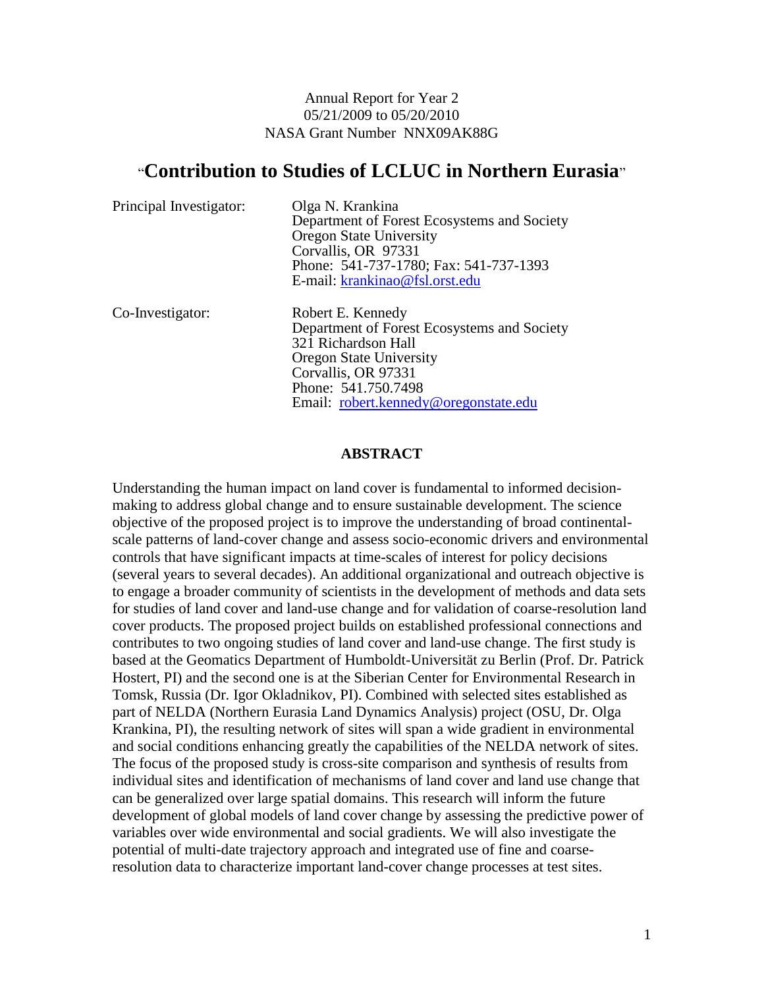Annual Report for Year 2 05/21/2009 to 05/20/2010 NASA Grant Number NNX09AK88G

# "**Contribution to Studies of LCLUC in Northern Eurasia**"

| Principal Investigator: | Olga N. Krankina<br>Department of Forest Ecosystems and Society<br><b>Oregon State University</b><br>Corvallis, OR 97331<br>Phone: 541-737-1780; Fax: 541-737-1393<br>E-mail: krankinao@fsl.orst.edu             |
|-------------------------|------------------------------------------------------------------------------------------------------------------------------------------------------------------------------------------------------------------|
| Co-Investigator:        | Robert E. Kennedy<br>Department of Forest Ecosystems and Society<br>321 Richardson Hall<br><b>Oregon State University</b><br>Corvallis, OR 97331<br>Phone: 541.750.7498<br>Email: robert.kennedy@oregonstate.edu |

#### **ABSTRACT**

Understanding the human impact on land cover is fundamental to informed decisionmaking to address global change and to ensure sustainable development. The science objective of the proposed project is to improve the understanding of broad continentalscale patterns of land-cover change and assess socio-economic drivers and environmental controls that have significant impacts at time-scales of interest for policy decisions (several years to several decades). An additional organizational and outreach objective is to engage a broader community of scientists in the development of methods and data sets for studies of land cover and land-use change and for validation of coarse-resolution land cover products. The proposed project builds on established professional connections and contributes to two ongoing studies of land cover and land-use change. The first study is based at the Geomatics Department of Humboldt-Universität zu Berlin (Prof. Dr. Patrick Hostert, PI) and the second one is at the Siberian Center for Environmental Research in Tomsk, Russia (Dr. Igor Okladnikov, PI). Combined with selected sites established as part of NELDA (Northern Eurasia Land Dynamics Analysis) project (OSU, Dr. Olga Krankina, PI), the resulting network of sites will span a wide gradient in environmental and social conditions enhancing greatly the capabilities of the NELDA network of sites. The focus of the proposed study is cross-site comparison and synthesis of results from individual sites and identification of mechanisms of land cover and land use change that can be generalized over large spatial domains. This research will inform the future development of global models of land cover change by assessing the predictive power of variables over wide environmental and social gradients. We will also investigate the potential of multi-date trajectory approach and integrated use of fine and coarseresolution data to characterize important land-cover change processes at test sites.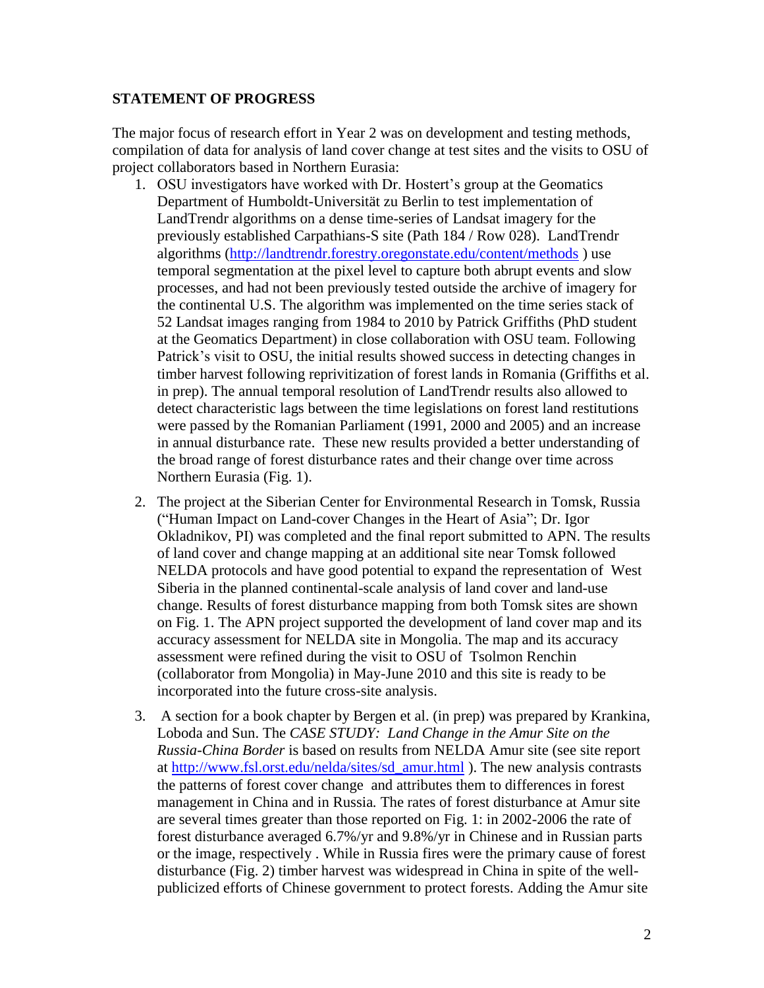### **STATEMENT OF PROGRESS**

The major focus of research effort in Year 2 was on development and testing methods, compilation of data for analysis of land cover change at test sites and the visits to OSU of project collaborators based in Northern Eurasia:

- 1. OSU investigators have worked with Dr. Hostert's group at the Geomatics Department of Humboldt-Universität zu Berlin to test implementation of LandTrendr algorithms on a dense time-series of Landsat imagery for the previously established Carpathians-S site (Path 184 / Row 028). LandTrendr algorithms [\(http://landtrendr.forestry.oregonstate.edu/content/methods](http://landtrendr.forestry.oregonstate.edu/content/methods) ) use temporal segmentation at the pixel level to capture both abrupt events and slow processes, and had not been previously tested outside the archive of imagery for the continental U.S. The algorithm was implemented on the time series stack of 52 Landsat images ranging from 1984 to 2010 by Patrick Griffiths (PhD student at the Geomatics Department) in close collaboration with OSU team. Following Patrick's visit to OSU, the initial results showed success in detecting changes in timber harvest following reprivitization of forest lands in Romania (Griffiths et al. in prep). The annual temporal resolution of LandTrendr results also allowed to detect characteristic lags between the time legislations on forest land restitutions were passed by the Romanian Parliament (1991, 2000 and 2005) and an increase in annual disturbance rate. These new results provided a better understanding of the broad range of forest disturbance rates and their change over time across Northern Eurasia (Fig. 1).
- 2. The project at the Siberian Center for Environmental Research in Tomsk, Russia ("Human Impact on Land-cover Changes in the Heart of Asia"; Dr. Igor Okladnikov, PI) was completed and the final report submitted to APN. The results of land cover and change mapping at an additional site near Tomsk followed NELDA protocols and have good potential to expand the representation of West Siberia in the planned continental-scale analysis of land cover and land-use change. Results of forest disturbance mapping from both Tomsk sites are shown on Fig. 1. The APN project supported the development of land cover map and its accuracy assessment for NELDA site in Mongolia. The map and its accuracy assessment were refined during the visit to OSU of Tsolmon Renchin (collaborator from Mongolia) in May-June 2010 and this site is ready to be incorporated into the future cross-site analysis.
- 3. A section for a book chapter by Bergen et al. (in prep) was prepared by Krankina, Loboda and Sun. The *CASE STUDY: Land Change in the Amur Site on the Russia-China Border* is based on results from NELDA Amur site (see site report at [http://www.fsl.orst.edu/nelda/sites/sd\\_amur.html](http://www.fsl.orst.edu/nelda/sites/sd_amur.html) ). The new analysis contrasts the patterns of forest cover change and attributes them to differences in forest management in China and in Russia*.* The rates of forest disturbance at Amur site are several times greater than those reported on Fig. 1: in 2002-2006 the rate of forest disturbance averaged 6.7%/yr and 9.8%/yr in Chinese and in Russian parts or the image, respectively . While in Russia fires were the primary cause of forest disturbance (Fig. 2) timber harvest was widespread in China in spite of the wellpublicized efforts of Chinese government to protect forests. Adding the Amur site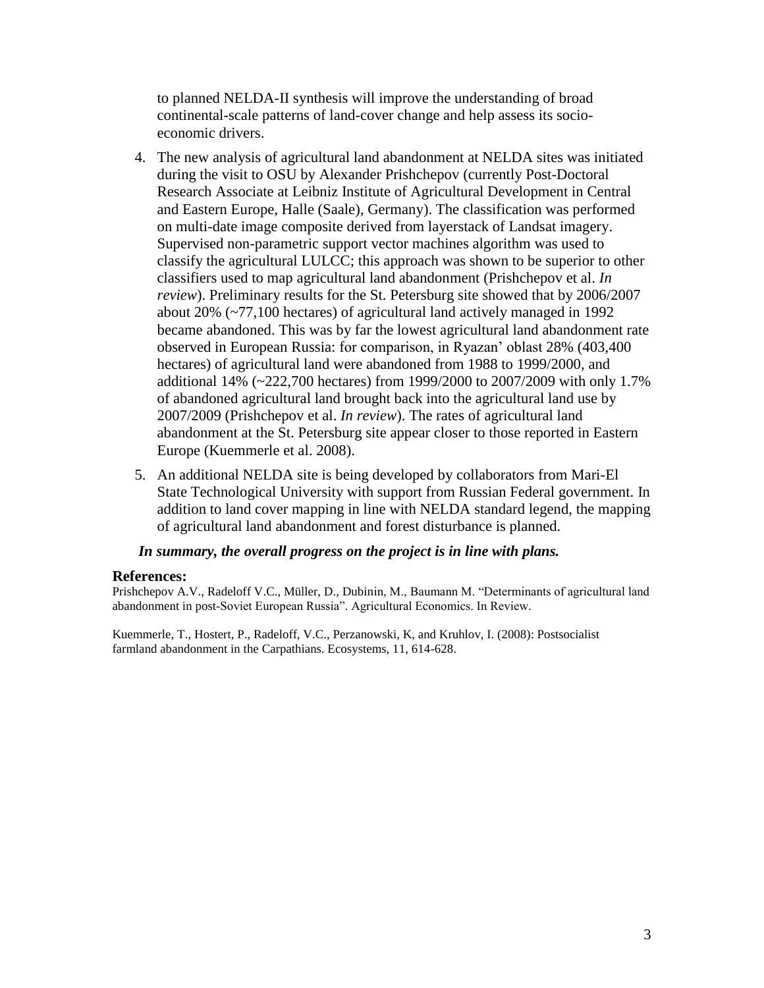to planned NELDA-II synthesis will improve the understanding of broad continental-scale patterns of land-cover change and help assess its socioeconomic drivers.

- 4. The new analysis of agricultural land abandonment at NELDA sites was initiated during the visit to OSU by Alexander Prishchepov (currently Post-Doctoral Research Associate at Leibniz Institute of Agricultural Development in Central and Eastern Europe, Halle (Saale), Germany). The classification was performed on multi-date image composite derived from layerstack of Landsat imagery. Supervised non-parametric support vector machines algorithm was used to classify the agricultural LULCC; this approach was shown to be superior to other classifiers used to map agricultural land abandonment (Prishchepov et al. *In review*). Preliminary results for the St. Petersburg site showed that by 2006/2007 about 20% (~77,100 hectares) of agricultural land actively managed in 1992 became abandoned. This was by far the lowest agricultural land abandonment rate observed in European Russia: for comparison, in Ryazan' oblast 28% (403,400 hectares) of agricultural land were abandoned from 1988 to 1999/2000, and additional 14% (~222,700 hectares) from 1999/2000 to 2007/2009 with only 1.7% of abandoned agricultural land brought back into the agricultural land use by 2007/2009 (Prishchepov et al. *In review*). The rates of agricultural land abandonment at the St. Petersburg site appear closer to those reported in Eastern Europe (Kuemmerle et al. 2008).
- 5. An additional NELDA site is being developed by collaborators from Mari-El State Technological University with support from Russian Federal government. In addition to land cover mapping in line with NELDA standard legend, the mapping of agricultural land abandonment and forest disturbance is planned.

### *In summary, the overall progress on the project is in line with plans.*

#### **References:**

Prishchepov A.V., Radeloff V.C., Müller, D., Dubinin, M., Baumann M. "Determinants of agricultural land abandonment in post-Soviet European Russia". Agricultural Economics. In Review.

Kuemmerle, T., Hostert, P., Radeloff, V.C., Perzanowski, K, and Kruhlov, I. (2008): Postsocialist farmland abandonment in the Carpathians. Ecosystems, 11, 614-628.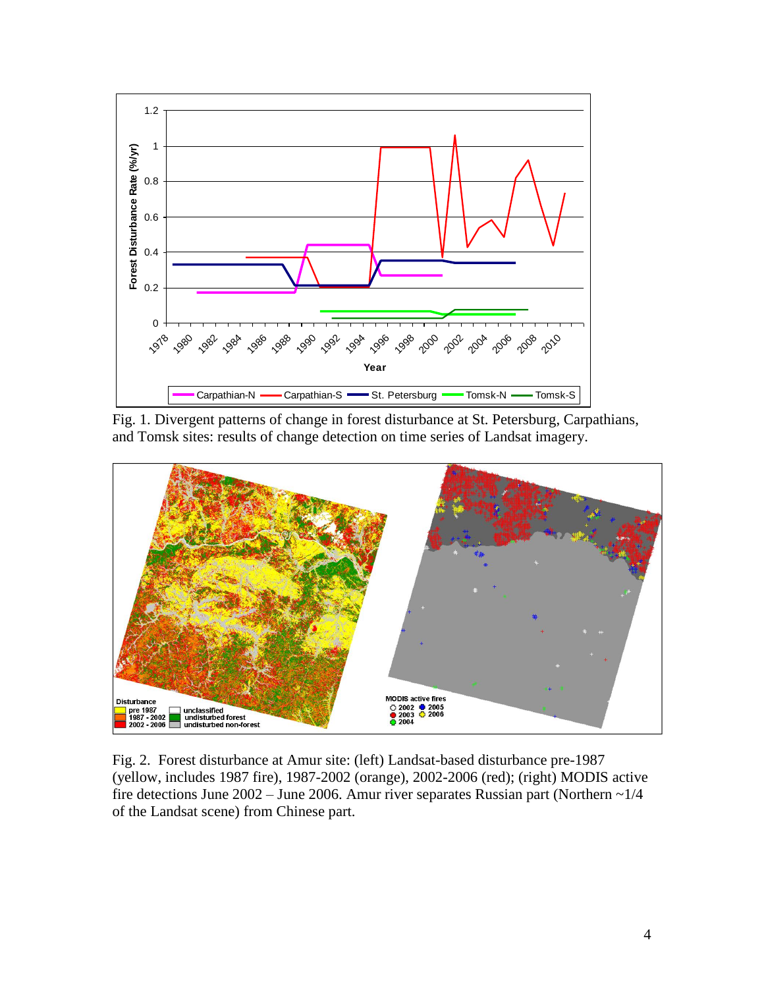

Fig. 1. Divergent patterns of change in forest disturbance at St. Petersburg, Carpathians, and Tomsk sites: results of change detection on time series of Landsat imagery.



Fig. 2. Forest disturbance at Amur site: (left) Landsat-based disturbance pre-1987 (yellow, includes 1987 fire), 1987-2002 (orange), 2002-2006 (red); (right) MODIS active fire detections June 2002 – June 2006. Amur river separates Russian part (Northern  $\sim$  1/4 of the Landsat scene) from Chinese part.